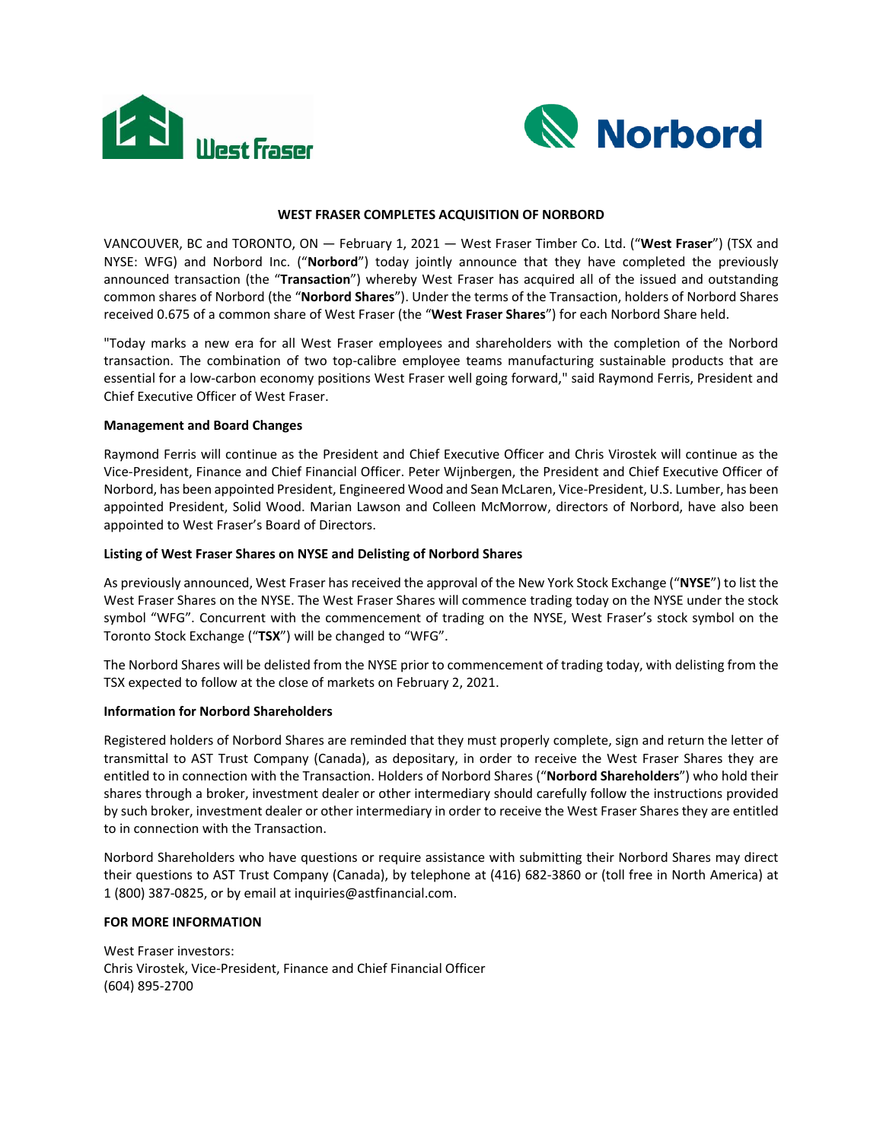



# **WEST FRASER COMPLETES ACQUISITION OF NORBORD**

VANCOUVER, BC and TORONTO, ON — February 1, 2021 — West Fraser Timber Co. Ltd. ("**West Fraser**") (TSX and NYSE: WFG) and Norbord Inc. ("**Norbord**") today jointly announce that they have completed the previously announced transaction (the "**Transaction**") whereby West Fraser has acquired all of the issued and outstanding common shares of Norbord (the "**Norbord Shares**"). Under the terms of the Transaction, holders of Norbord Shares received 0.675 of a common share of West Fraser (the "**West Fraser Shares**") for each Norbord Share held.

"Today marks a new era for all West Fraser employees and shareholders with the completion of the Norbord transaction. The combination of two top-calibre employee teams manufacturing sustainable products that are essential for a low-carbon economy positions West Fraser well going forward," said Raymond Ferris, President and Chief Executive Officer of West Fraser.

### **Management and Board Changes**

Raymond Ferris will continue as the President and Chief Executive Officer and Chris Virostek will continue as the Vice-President, Finance and Chief Financial Officer. Peter Wijnbergen, the President and Chief Executive Officer of Norbord, has been appointed President, Engineered Wood and Sean McLaren, Vice-President, U.S. Lumber, has been appointed President, Solid Wood. Marian Lawson and Colleen McMorrow, directors of Norbord, have also been appointed to West Fraser's Board of Directors.

### **Listing of West Fraser Shares on NYSE and Delisting of Norbord Shares**

As previously announced, West Fraser has received the approval of the New York Stock Exchange ("**NYSE**") to list the West Fraser Shares on the NYSE. The West Fraser Shares will commence trading today on the NYSE under the stock symbol "WFG". Concurrent with the commencement of trading on the NYSE, West Fraser's stock symbol on the Toronto Stock Exchange ("**TSX**") will be changed to "WFG".

The Norbord Shares will be delisted from the NYSE prior to commencement of trading today, with delisting from the TSX expected to follow at the close of markets on February 2, 2021.

### **Information for Norbord Shareholders**

Registered holders of Norbord Shares are reminded that they must properly complete, sign and return the letter of transmittal to AST Trust Company (Canada), as depositary, in order to receive the West Fraser Shares they are entitled to in connection with the Transaction. Holders of Norbord Shares ("**Norbord Shareholders**") who hold their shares through a broker, investment dealer or other intermediary should carefully follow the instructions provided by such broker, investment dealer or other intermediary in order to receive the West Fraser Shares they are entitled to in connection with the Transaction.

Norbord Shareholders who have questions or require assistance with submitting their Norbord Shares may direct their questions to AST Trust Company (Canada), by telephone at (416) 682-3860 or (toll free in North America) at 1 (800) 387-0825, or by email at inquiries@astfinancial.com.

# **FOR MORE INFORMATION**

West Fraser investors: Chris Virostek, Vice-President, Finance and Chief Financial Officer (604) 895-2700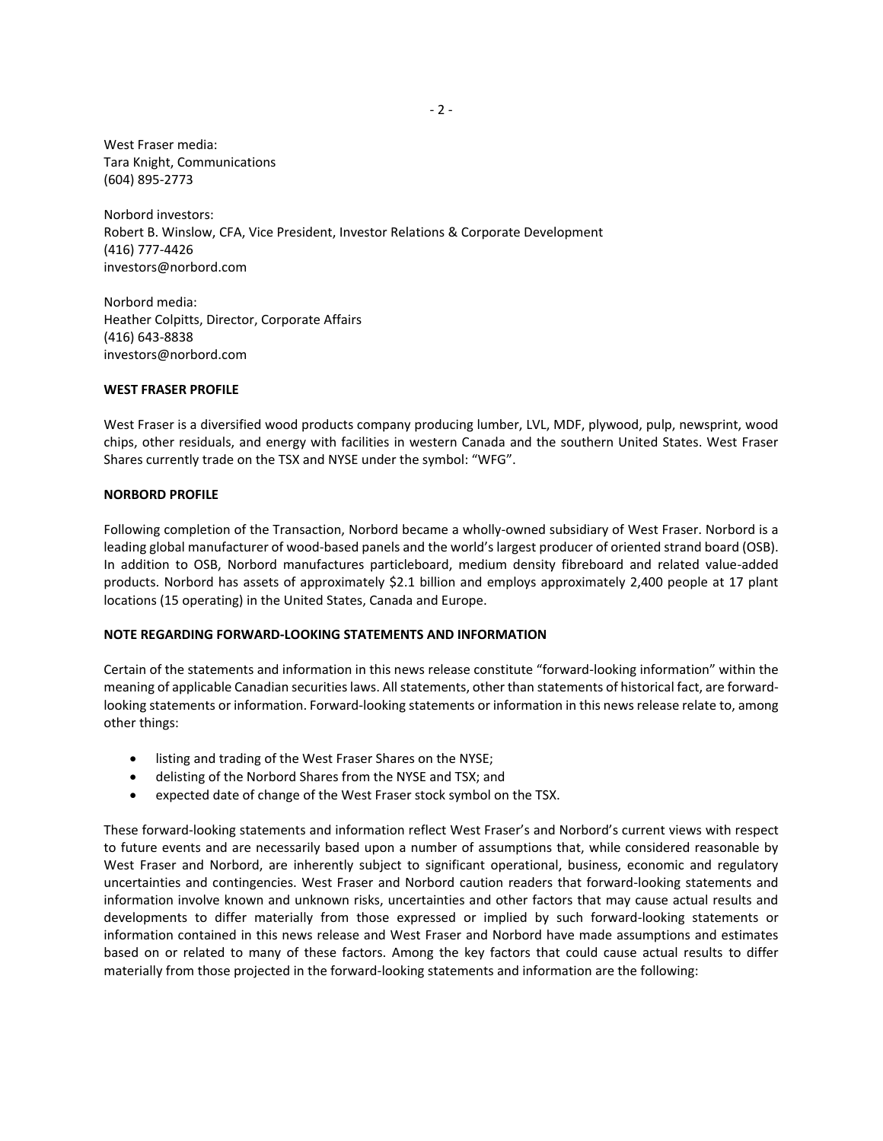West Fraser media: Tara Knight, Communications (604) 895-2773

Norbord investors: Robert B. Winslow, CFA, Vice President, Investor Relations & Corporate Development (416) 777-4426 investors@norbord.com

Norbord media: Heather Colpitts, Director, Corporate Affairs (416) 643-8838 investors@norbord.com

# **WEST FRASER PROFILE**

West Fraser is a diversified wood products company producing lumber, LVL, MDF, plywood, pulp, newsprint, wood chips, other residuals, and energy with facilities in western Canada and the southern United States. West Fraser Shares currently trade on the TSX and NYSE under the symbol: "WFG".

# **NORBORD PROFILE**

Following completion of the Transaction, Norbord became a wholly-owned subsidiary of West Fraser. Norbord is a leading global manufacturer of wood-based panels and the world's largest producer of oriented strand board (OSB). In addition to OSB, Norbord manufactures particleboard, medium density fibreboard and related value-added products. Norbord has assets of approximately \$2.1 billion and employs approximately 2,400 people at 17 plant locations (15 operating) in the United States, Canada and Europe.

# **NOTE REGARDING FORWARD-LOOKING STATEMENTS AND INFORMATION**

Certain of the statements and information in this news release constitute "forward-looking information" within the meaning of applicable Canadian securities laws. All statements, other than statements of historical fact, are forwardlooking statements or information. Forward-looking statements or information in this news release relate to, among other things:

- listing and trading of the West Fraser Shares on the NYSE;
- delisting of the Norbord Shares from the NYSE and TSX; and
- expected date of change of the West Fraser stock symbol on the TSX.

These forward-looking statements and information reflect West Fraser's and Norbord's current views with respect to future events and are necessarily based upon a number of assumptions that, while considered reasonable by West Fraser and Norbord, are inherently subject to significant operational, business, economic and regulatory uncertainties and contingencies. West Fraser and Norbord caution readers that forward-looking statements and information involve known and unknown risks, uncertainties and other factors that may cause actual results and developments to differ materially from those expressed or implied by such forward-looking statements or information contained in this news release and West Fraser and Norbord have made assumptions and estimates based on or related to many of these factors. Among the key factors that could cause actual results to differ materially from those projected in the forward-looking statements and information are the following: